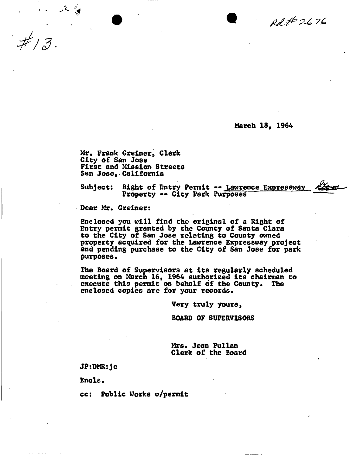$00472676$ 

March 18, 1964

Mr. Frank Greiner, Clerk City of San Jose First and Mission Streets San Jose, California

Subject: Right of Entry Permit -- Lawrence Expressway Property -- City Park Purposes

 $\bullet$   $\bullet$   $\bullet$ 

Dear Mr. Greiner:

Enclosed you will find the original of a Right of Entry permit granted by the County of Santa Clara to the City of San Jose relating to County owned property acquired for the Lawrence Expressway project and pending purchase to the City of San Jose for park purposes.

The Board of Supervisors at its regularly scheduled meeting on March 16, 1964 authorized its chairman to execute this permit on behalf of the County. The enclosed copies 8re for your records.

Very truly yours,

BOARD OF SUPERVISORS

Mrs. Jean Pullan Clerk of the Board

JP:DMR:jc

Encls.

cc: Public Works w/permit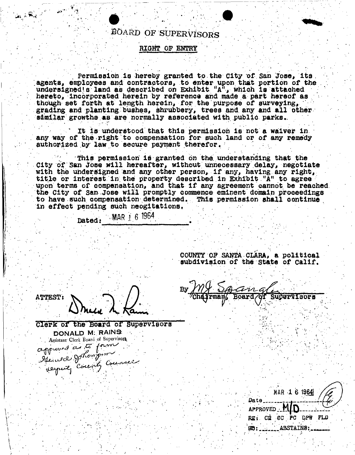## BOARD OF SUPERVISORS

### RIGHT OF ENTRY

Permission is hereby granted to the City of San Jose, its. agents, employees and contractors, to enter upon that portion of the undersigned s land as described on Exhibit "A", which is attached hereto, incorporated herein by reference and made a part hereof as though set forth at length herein, for the purpose of surveying, grading and planting bushes, shrubbery, trees and any and all other similar growths as are normally associated with public parks.

It is understood that this permission is not a waiver in any way of the right to compensation for such land or of any remedy authorized by law to secure payment therefor.

This permission is granted on the understanding that the City of San Jose will hereafter, without unnecessary delay, negotiate with the undersigned and any other person, if any, having any right, title or interest in the property described in Exhibit "A" to agree upon terms of compensation, and that if any agreement cannot be reached. the City of San Jose will promptly commence eminent domain proceedings to have such compensation determined. This permission shall continue in effect pending such neogitations.

Dated: MAR 1 6 1964

COUNTY OF SANTA CLARA, a political subdivision of the State of Calif.

**ATTEST:** 

Clerk of the Board of Supervisors DONALD M. RAINS Assistant Clerk Board of Supervisors appured a té forme

MAR 1 6 1964 Date APPROVED M REI CE CC PC DPW FLO ABSTAINS:  $183$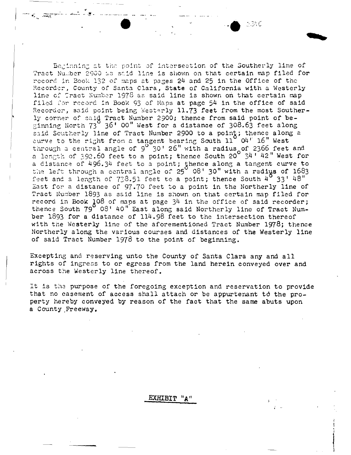Beginning at the point of intersection of the Southerly line of Tract Number 2000 as said line is shown on that certain map filed for record in Book 132 of maps at pages 24 and 25 in the Office of the Recorder, County of Santa Clara, State of California with a Westerly line of Tract Number 1976 as said line is shown on that certain map filed for record in Book 93 of Maps at page 54 in the office of said Recorder, said point being Westerly 11.73 feet from the most Southerly corner of said Tract Number 2900; thence from said point of be-<br>ginning North 73 36' 00" West for a distance of 308.63 feet along said Scutherly line of Tract Number 2900 to a point; thence along a curve to the right from a tangent bearing South  $11'$  O4' 16" West through a central angle of 9<sup>0</sup>30' 26" with a radius of 2366 feet and<br>a length of 392.60 feet to a point; thence South 20<sup>0</sup>34' 42" West for a distance of 496.34 feet to a point; thence along a tangent curve to the left through a central angle of 25° 08' 30" with a radius of 1683 feet and a length of 738.51 feet to a point; thence South  $4^{\circ}$  33' 48" East for a distance of 97.70 feet to a point in the Northerly line of Tract Number 1893 as said line is shown on that certain map filed for record in Book 108 of maps at page 34 in the office of said recorder;<br>thence South 79 08' 40" East along said Northerly line of Tract Number 1893 for a distance of 114.98 feet to the intersection thereof with the Westerly line of the aforementioned Tract Number 1978; thence Northerly along the various courses and distances of the Westerly line of said Tract Number 1978 to the point of beginning.

Excepting and reserving unto the County of Santa Clara any and all rights of ingress to or egress from the land herein conveyed over and across the Westerly line thereof.

It is the purpose of the foregoing exception and reservation to provide that no casement of access shall attach or be appurtenant to the property hereby conveyed by reason of the fact that the same abuts upon a County Freeway.

#### EXHIBIT "A"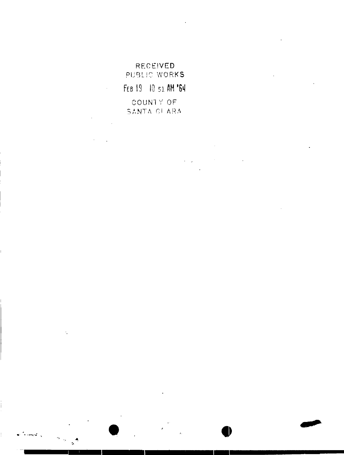# **RECEIVED** PUBLIC WORKS FEB 19 10 51 AM '64 COUNTY OF SANTA GI ARA

 $\hat{\mathbf{r}}$ 

 $\dot{\gamma}$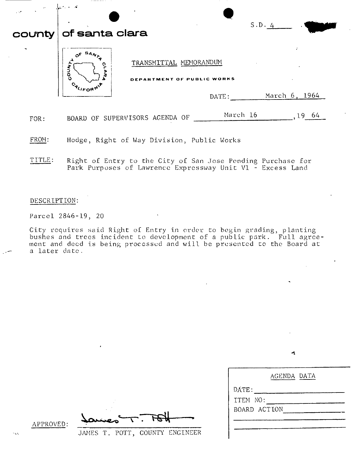| $\sim$<br>$\sim$      | تەر بىرى بىر   |                                                               |               |
|-----------------------|----------------|---------------------------------------------------------------|---------------|
| county                | of santa clara |                                                               | S.D. 4        |
| $\tilde{\phantom{a}}$ | <b>NAO</b>     | TRANSMITTAL MEMORANDUM<br>DEPARTMENT OF PUBLIC WORKS<br>DATE: | March 6, 1964 |
| FOR:                  |                | March 16<br>BOARD OF SUPERVISORS AGENDA OF                    | $,19$ 64      |

FROM: Hodge, Right of Way Division, Public Works

TITLE: Right of Entry to the City of San Jose Pending Purchase for Park Purposes of Lawrence Expressway Unit V1 - Excess Land

#### DESCR IPTION:

Parcel 2846-19, 20

City requires said Right of Entry in order to begin grading, planting bushes and trees incident to development of a public park. Full agreement and deed is being processed and will be presented to the Board at a later date.

Ą,

|              | AGENDA DATA |  |
|--------------|-------------|--|
| DATE:        |             |  |
| ITEM NO:     |             |  |
| BOARD ACTION |             |  |
|              |             |  |
|              |             |  |

APPROVED:

JAMES T. POTT, COUNTY ENGINEER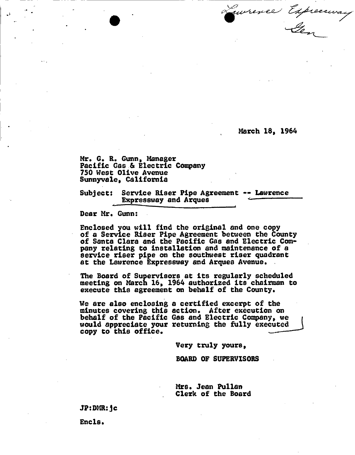March 18, 1964

Mr. G. R. Gunn, Manager Pacific Gas.& Electric Company 750 West Olive Avenue Sunnyvale, California

Subject: Service Riser Pipe Agreement -- Lawrence Expressway and Arques

~----------------

Dear Mr. Gunn:

•

Enclosed you will find the original and one copy of a Service Riser Pipe Agreement between the County of Santa Clara and the Pacific Gas and Electric Company relating to installation and maintenance of a service riser pipe on the southwest riser quadrant at the Lawrence Expressway and Arquea Avenue.

The Board of Supervisors at its regularly scheduled meeting on March 16, 1964 authorized its chairman to execute this agreement on behalf of the County.

We are also enclosing a certified excerpt of the minutes covering this action. After execution on behalf of the Pacific Gas and Electric Company, we would appreciate your returning the fully executed copy to this office.

Very truly yours,

BOARD OF SUPERVISORS

Mrs. Jean Pullan Clerk of the Board

JP:DMR:jc

Encls.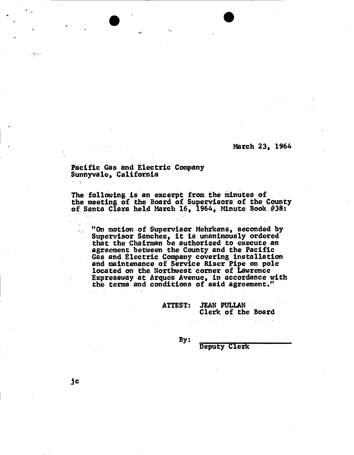March 23, 1964

#### Pacific Gas and Electric Company Sunnyva le, California .  $\epsilon_{\rm c} \rightarrow \epsilon_{\rm f}$

The following is an excerpt from the minutes of the meeting of the Board of Supervisors of the County of Santa Clara held March 16, 1964, Minute Book  $#38:$ 

 $\bullet$ 

"On motion of Supervisor Mehrkens, seconded by Supervisor Sanchez, it is unanimously ordered that the Chairman be authorized to execute an agreement betWeen the County and the Pacific Gas and Electric Company covering installation and maintenance of Service Riser Pipe on pole located on the Northwest corner of Lawrence Expressway at Arques Avenue, in accordance with the terms and conditions of said agreement."

> ATTEST: JEAN PULLAN Clerk of the Board

> > By:

Deputy Clerk

, .

,  $\sim$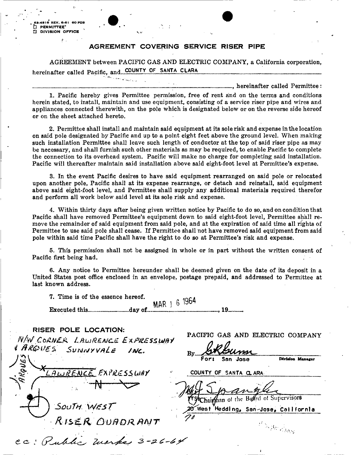4516 REV. 6-61 60 PDS PERMITTEE' **[7] DIVISION OFFICE** 

#### AGREEMENT COVERING SERVICE RISER PIPE

AGREEMENT between PACIFIC GAS AND ELECTRIC COMPANY, a California corporation, hereinafter called Pacific, and COUNTY OF SANTA CLARA 

1. Pacific hereby gives Permittee permission, free of rent and on the terms and conditions herein stated, to install, maintain and use equipment, consisting of a service riser pipe and wires and appliances connected therewith, on the pole which is designated below or on the reverse side hereof or on the sheet attached hereto.

2. Permittee shall install and maintain said equipment at its sole risk and expense in the location on said pole designated by Pacific and up to a point eight feet above the ground level. When making such installation Permittee shall leave such length of conductor at the top of said riser pipe as may be necessary, and shall furnish such other materials as may be required, to enable Pacific to complete the connection to its overhead system. Pacific will make no charge for completing said installation. Pacific will thereafter maintain said installation above said eight-foot level at Permittee's expense.

3. In the event Pacific desires to have said equipment rearranged on said pole or relocated upon another pole, Pacific shall at its expense rearrange, or detach and reinstall, said equipment above said eight-foot level, and Permittee shall supply any additional materials required therefor and perform all work below said level at its sole risk and expense.

4. Within thirty days after being given written notice by Pacific to do so, and on condition that Pacific shall have removed Permittee's equipment down to said eight-foot level, Permittee shall remove the remainder of said equipment from said pole, and at the expiration of said time all rights of Permittee to use said pole shall cease. If Permittee shall not have removed said equipment from said pole within said time Pacific shall have the right to do so at Permittee's risk and expense.

5. This permission shall not be assigned in whole or in part without the written consent of Pacific first being had.

6. Any notice to Permittee hereunder shall be deemed given on the date of its deposit in a United States post office enclosed in an envelope, postage prepaid, and addressed to Permittee at last known address.

7. Time is of the essence hereof. MAR 1 6 1964 

RISER POLE LOCATION: PACIFIC GAS AND ELECTRIC COMPANY N/W CORNER LAWRENCE EXPRESSWAY ARQUES SUNNYVALE INC. Division Manager San Jose EXPRESSWAY COUNTY OF SANTA CLARA- $A L R E M C E$ Chairman of the Board of Supervisors SOUTH WEST 20 West Hedding, San-Jose, California RISER OUADRANT  $t^I \searrow g_{B^* \rho_{ABQ}^I}$ CC: Public Marks 3-26-64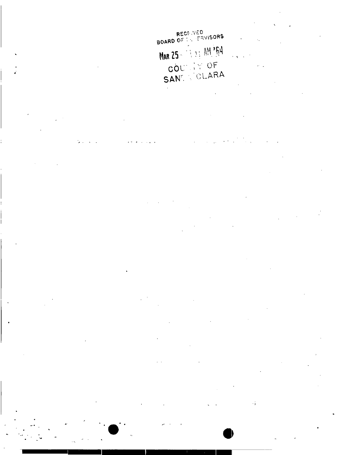RECHIVED<br>BOARD OF THE FRYISORS MAR 25 - 1 3 : AM '64 COUNTY OF

 $\mathbf{r}$